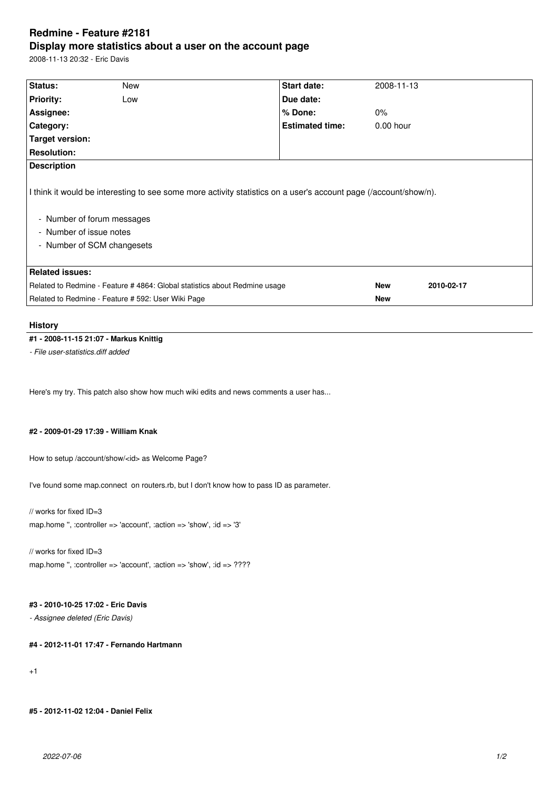# **Redmine - Feature #2181 Display more statistics about a user on the account page**

2008-11-13 20:32 - Eric Davis

| Status:                                                                                                                                                                                                 | New | <b>Start date:</b>     |  | 2008-11-13  |            |  |  |
|---------------------------------------------------------------------------------------------------------------------------------------------------------------------------------------------------------|-----|------------------------|--|-------------|------------|--|--|
| <b>Priority:</b>                                                                                                                                                                                        | Low | Due date:              |  |             |            |  |  |
| Assignee:                                                                                                                                                                                               |     | % Done:                |  | $0\%$       |            |  |  |
| Category:                                                                                                                                                                                               |     | <b>Estimated time:</b> |  | $0.00$ hour |            |  |  |
| <b>Target version:</b>                                                                                                                                                                                  |     |                        |  |             |            |  |  |
| <b>Resolution:</b>                                                                                                                                                                                      |     |                        |  |             |            |  |  |
| <b>Description</b>                                                                                                                                                                                      |     |                        |  |             |            |  |  |
| I think it would be interesting to see some more activity statistics on a user's account page (/account/show/n).<br>- Number of forum messages<br>- Number of issue notes<br>- Number of SCM changesets |     |                        |  |             |            |  |  |
| <b>Related issues:</b>                                                                                                                                                                                  |     |                        |  |             |            |  |  |
| Related to Redmine - Feature # 4864: Global statistics about Redmine usage                                                                                                                              |     |                        |  | <b>New</b>  | 2010-02-17 |  |  |
| Related to Redmine - Feature # 592: User Wiki Page                                                                                                                                                      |     |                        |  | <b>New</b>  |            |  |  |
|                                                                                                                                                                                                         |     |                        |  |             |            |  |  |

#### **History**

## **#1 - 2008-11-15 21:07 - Markus Knittig**

*- File user-statistics.diff added*

Here's my try. This patch also show how much wiki edits and news comments a user has...

#### **#2 - 2009-01-29 17:39 - William Knak**

How to setup /account/show/<id> as Welcome Page?

I've found some map.connect on routers.rb, but I don't know how to pass ID as parameter.

// works for fixed ID=3 map.home '', :controller => 'account', :action => 'show', :id => '3'

// works for fixed ID=3 map.home ", :controller => 'account', :action => 'show', :id => ????

#### **#3 - 2010-10-25 17:02 - Eric Davis**

*- Assignee deleted (Eric Davis)*

### **#4 - 2012-11-01 17:47 - Fernando Hartmann**

+1

**#5 - 2012-11-02 12:04 - Daniel Felix**